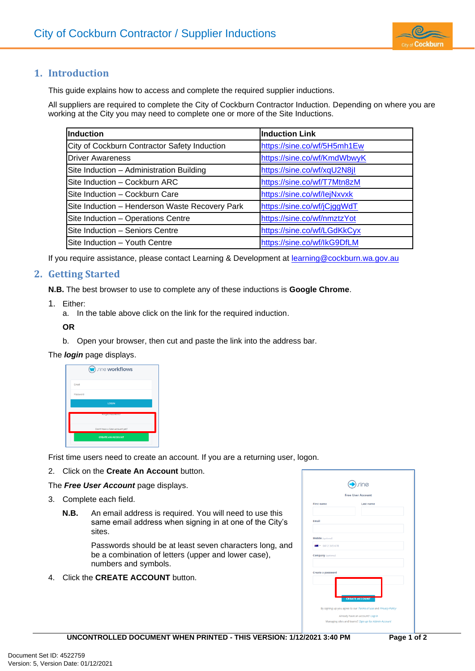

# **1. Introduction**

This guide explains how to access and complete the required supplier inductions.

All suppliers are required to complete the City of Cockburn Contractor Induction. Depending on where you are working at the City you may need to complete one or more of the Site Inductions.

| <b>Induction</b>                               | <b>Induction Link</b>       |
|------------------------------------------------|-----------------------------|
| City of Cockburn Contractor Safety Induction   | https://sine.co/wf/5H5mh1Ew |
| <b>Driver Awareness</b>                        | https://sine.co/wf/KmdWbwyK |
| Site Induction - Administration Building       | https://sine.co/wf/xqU2N8jl |
| Site Induction - Cockburn ARC                  | https://sine.co/wf/T7Mtn8zM |
| Site Induction - Cockburn Care                 | https://sine.co/wf/lejNxvxk |
| Site Induction - Henderson Waste Recovery Park | https://sine.co/wf/jCjggWdT |
| Site Induction - Operations Centre             | https://sine.co/wf/nmztzYot |
| Site Induction - Seniors Centre                | https://sine.co/wf/LGdKkCyx |
| Site Induction - Youth Centre                  | https://sine.co/wf/lkG9DfLM |

If you require assistance, please contact Learning & Development at **learning@cockburn.wa.gov.au** 

## **2. Getting Started**

**N.B.** The best browser to use to complete any of these inductions is **Google Chrome**.

- 1. Either:
	- a. In the table above click on the link for the required induction.

**OR**

b. Open your browser, then cut and paste the link into the address bar.

#### The *login* page displays.

| <b>W</b> rine workflows        |
|--------------------------------|
| Email                          |
| Password                       |
| LOGIN                          |
| For got Password?              |
| Don't have a Sine account yet? |
| <b>CREATE AN ACCOUNT</b>       |

Frist time users need to create an account. If you are a returning user, logon.

2. Click on the **Create An Account** button.

The *Free User Account* page displays.

- 3. Complete each field.
	- **N.B.** An email address is required. You will need to use this same email address when signing in at one of the City's sites.

Passwords should be at least seven characters long, and be a combination of letters (upper and lower case), numbers and symbols.

4. Click the **CREATE ACCOUNT** button.

| rine<br><b>Free User Account</b>       |                       |
|----------------------------------------|-----------------------|
|                                        |                       |
| Email                                  |                       |
| Mobile (optional)<br>88 . 0412 345 678 |                       |
| Company (optional)                     |                       |
| Create a password                      |                       |
|                                        | <b>CREATE ACCOUNT</b> |
|                                        |                       |